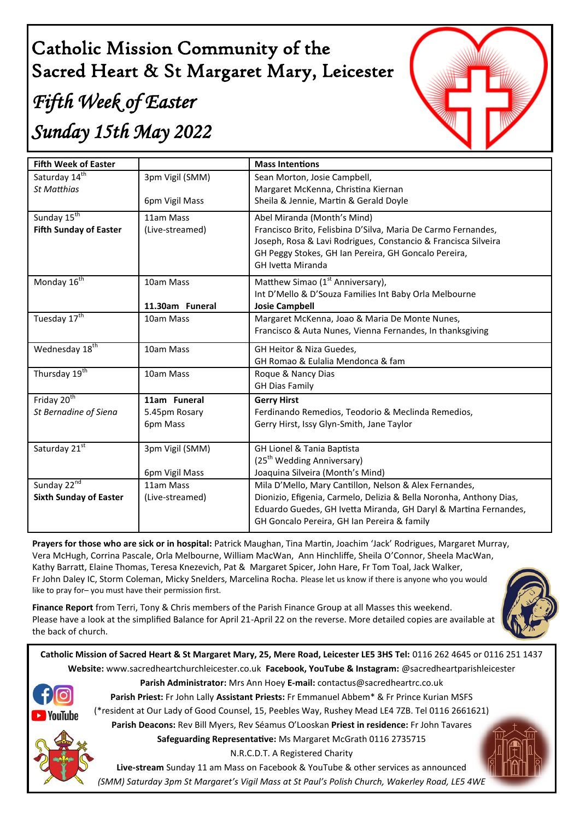# Catholic Mission Community of the Sacred Heart & St Margaret Mary, Leicester

# *Fifth Week of Easter Sunday 15th May 2022*



| <b>Fifth Week of Easter</b>   |                 | <b>Mass Intentions</b>                                                                                                                  |
|-------------------------------|-----------------|-----------------------------------------------------------------------------------------------------------------------------------------|
| Saturday 14 <sup>th</sup>     | 3pm Vigil (SMM) | Sean Morton, Josie Campbell,                                                                                                            |
| <b>St Matthias</b>            |                 | Margaret McKenna, Christina Kiernan                                                                                                     |
|                               | 6pm Vigil Mass  | Sheila & Jennie, Martin & Gerald Doyle                                                                                                  |
| Sunday 15 <sup>th</sup>       | 11am Mass       | Abel Miranda (Month's Mind)                                                                                                             |
| <b>Fifth Sunday of Easter</b> | (Live-streamed) | Francisco Brito, Felisbina D'Silva, Maria De Carmo Fernandes,                                                                           |
|                               |                 | Joseph, Rosa & Lavi Rodrigues, Constancio & Francisca Silveira                                                                          |
|                               |                 | GH Peggy Stokes, GH Ian Pereira, GH Goncalo Pereira,                                                                                    |
|                               |                 | <b>GH Ivetta Miranda</b>                                                                                                                |
| Monday $16^{\text{th}}$       | 10am Mass       | Matthew Simao (1 <sup>st</sup> Anniversary),                                                                                            |
|                               |                 | Int D'Mello & D'Souza Families Int Baby Orla Melbourne                                                                                  |
|                               | 11.30am Funeral | <b>Josie Campbell</b>                                                                                                                   |
| Tuesday 17 <sup>th</sup>      | 10am Mass       | Margaret McKenna, Joao & Maria De Monte Nunes,                                                                                          |
|                               |                 | Francisco & Auta Nunes, Vienna Fernandes, In thanksgiving                                                                               |
| Wednesday 18 <sup>th</sup>    | 10am Mass       | GH Heitor & Niza Guedes,                                                                                                                |
|                               |                 | GH Romao & Eulalia Mendonca & fam                                                                                                       |
| Thursday 19 <sup>th</sup>     | 10am Mass       | Roque & Nancy Dias                                                                                                                      |
|                               |                 | <b>GH Dias Family</b>                                                                                                                   |
| Friday 20 <sup>th</sup>       | 11am Funeral    | <b>Gerry Hirst</b>                                                                                                                      |
| St Bernadine of Siena         | 5.45pm Rosary   | Ferdinando Remedios, Teodorio & Meclinda Remedios,                                                                                      |
|                               | 6pm Mass        | Gerry Hirst, Issy Glyn-Smith, Jane Taylor                                                                                               |
|                               |                 |                                                                                                                                         |
| Saturday 21st                 | 3pm Vigil (SMM) | GH Lionel & Tania Baptista                                                                                                              |
|                               |                 | (25 <sup>th</sup> Wedding Anniversary)                                                                                                  |
|                               | 6pm Vigil Mass  | Joaquina Silveira (Month's Mind)                                                                                                        |
| Sunday 22nd                   | 11am Mass       | Mila D'Mello, Mary Cantillon, Nelson & Alex Fernandes,                                                                                  |
| <b>Sixth Sunday of Easter</b> | (Live-streamed) | Dionizio, Efigenia, Carmelo, Delizia & Bella Noronha, Anthony Dias,<br>Eduardo Guedes, GH Ivetta Miranda, GH Daryl & Martina Fernandes, |
|                               |                 | GH Goncalo Pereira, GH Ian Pereira & family                                                                                             |
|                               |                 |                                                                                                                                         |

**Prayers for those who are sick or in hospital:** Patrick Maughan, Tina Martin, Joachim 'Jack' Rodrigues, Margaret Murray, Vera McHugh, Corrina Pascale, Orla Melbourne, William MacWan, Ann Hinchliffe, Sheila O'Connor, Sheela MacWan, Kathy Barratt, Elaine Thomas, Teresa Knezevich, Pat & Margaret Spicer, John Hare, Fr Tom Toal, Jack Walker, Fr John Daley IC, Storm Coleman, Micky Snelders, Marcelina Rocha. Please let us know if there is anyone who you would like to pray for– you must have their permission first.

**Finance Report** from Terri, Tony & Chris members of the Parish Finance Group at all Masses this weekend. Please have a look at the simplified Balance for April 21-April 22 on the reverse. More detailed copies are available at the back of church.



**Catholic Mission of Sacred Heart & St Margaret Mary, 25, Mere Road, Leicester LE5 3HS Tel:** 0116 262 4645 or 0116 251 1437 **Website:** www.sacredheartchurchleicester.co.uk **Facebook, YouTube & Instagram:** @sacredheartparishleicester



**Parish Administrator:** Mrs Ann Hoey **E-mail:** contactus@sacredheartrc.co.uk

**Parish Priest:** Fr John Lally **Assistant Priests:** Fr Emmanuel Abbem\* & Fr Prince Kurian MSFS

(\*resident at Our Lady of Good Counsel, 15, Peebles Way, Rushey Mead LE4 7ZB. Tel 0116 2661621)

**Parish Deacons:** Rev Bill Myers, Rev Séamus O'Looskan **Priest in residence:** Fr John Tavares

**Safeguarding Representative:** Ms Margaret McGrath 0116 2735715

N.R.C.D.T. A Registered Charity

**Live-stream** Sunday 11 am Mass on Facebook & YouTube & other services as announced *(SMM) Saturday 3pm St Margaret's Vigil Mass at St Paul's Polish Church, Wakerley Road, LE5 4WE*